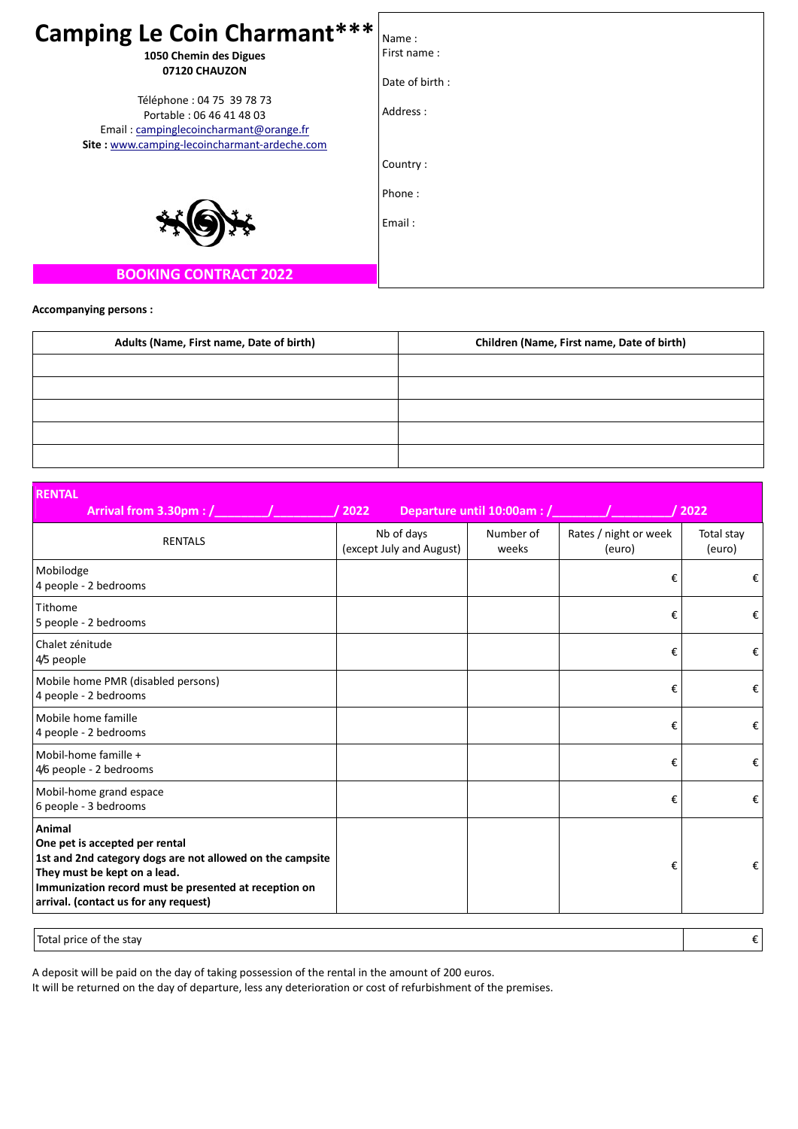| <b>Camping Le Coin Charmant***</b>                                                                                                               |                      |
|--------------------------------------------------------------------------------------------------------------------------------------------------|----------------------|
|                                                                                                                                                  | Name:<br>First name: |
| 1050 Chemin des Digues<br>07120 CHAUZON                                                                                                          |                      |
|                                                                                                                                                  | Date of birth:       |
| Téléphone : 04 75 39 78 73<br>Portable: 06 46 41 48 03<br>Email: campinglecoincharmant@orange.fr<br>Site: www.camping-lecoincharmant-ardeche.com | Address:             |
|                                                                                                                                                  | Country:             |
|                                                                                                                                                  | Phone:               |
|                                                                                                                                                  | Email:               |
| <b>BOOKING CONTRACT 2022</b>                                                                                                                     |                      |

## **Accompanying persons :**

| Adults (Name, First name, Date of birth) | Children (Name, First name, Date of birth) |  |  |
|------------------------------------------|--------------------------------------------|--|--|
|                                          |                                            |  |  |
|                                          |                                            |  |  |
|                                          |                                            |  |  |
|                                          |                                            |  |  |
|                                          |                                            |  |  |

| <b>RENTAL</b>                                                                                                                                                                                                                           |                                        |                             |                                 |                      |
|-----------------------------------------------------------------------------------------------------------------------------------------------------------------------------------------------------------------------------------------|----------------------------------------|-----------------------------|---------------------------------|----------------------|
| Arrival from 3.30pm : /                                                                                                                                                                                                                 | / 2022                                 | Departure until 10:00am : / |                                 | / 2022               |
| <b>RENTALS</b>                                                                                                                                                                                                                          | Nb of days<br>(except July and August) | Number of<br>weeks          | Rates / night or week<br>(euro) | Total stay<br>(euro) |
| Mobilodge<br>4 people - 2 bedrooms                                                                                                                                                                                                      |                                        |                             | €                               | €                    |
| Tithome<br>5 people - 2 bedrooms                                                                                                                                                                                                        |                                        |                             | €                               | €                    |
| Chalet zénitude<br>4/5 people                                                                                                                                                                                                           |                                        |                             | €                               | €                    |
| Mobile home PMR (disabled persons)<br>4 people - 2 bedrooms                                                                                                                                                                             |                                        |                             | €                               | €                    |
| Mobile home famille<br>4 people - 2 bedrooms                                                                                                                                                                                            |                                        |                             | €                               | €                    |
| Mobil-home famille +<br>4/6 people - 2 bedrooms                                                                                                                                                                                         |                                        |                             | €                               | €                    |
| Mobil-home grand espace<br>6 people - 3 bedrooms                                                                                                                                                                                        |                                        |                             | €                               | €                    |
| Animal<br>One pet is accepted per rental<br>1st and 2nd category dogs are not allowed on the campsite<br>They must be kept on a lead.<br>Immunization record must be presented at reception on<br>arrival. (contact us for any request) |                                        |                             | €                               | €                    |
| Total price of the stay                                                                                                                                                                                                                 |                                        |                             |                                 | €                    |

A deposit will be paid on the day of taking possession of the rental in the amount of 200 euros.

It will be returned on the day of departure, less any deterioration or cost of refurbishment of the premises.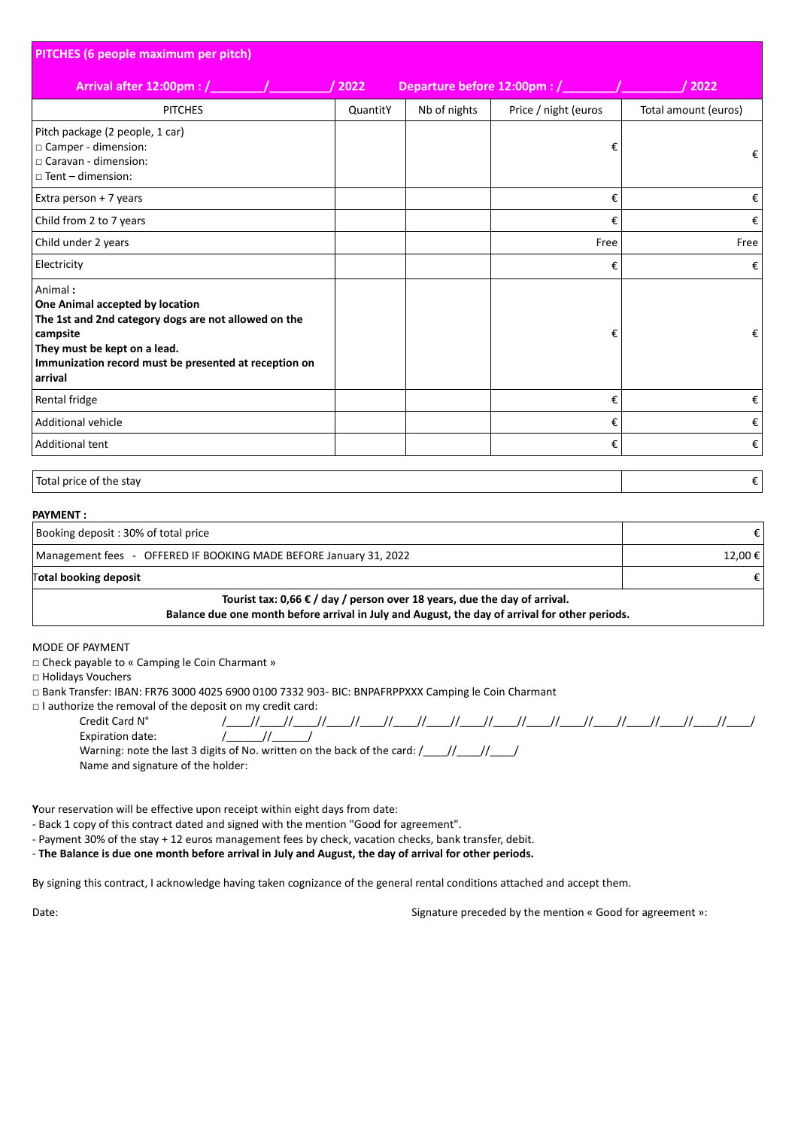| PITCHES (6 people maximum per pitch)                                                                                                                                                                               |          |                              |                      |                      |
|--------------------------------------------------------------------------------------------------------------------------------------------------------------------------------------------------------------------|----------|------------------------------|----------------------|----------------------|
| Arrival after 12:00pm : /                                                                                                                                                                                          | 2022     | Departure before 12:00pm : / |                      | 2022                 |
| <b>PITCHES</b>                                                                                                                                                                                                     | QuantitY | Nb of nights                 | Price / night (euros | Total amount (euros) |
| Pitch package (2 people, 1 car)<br>□ Camper - dimension:<br>□ Caravan - dimension:<br>$\Box$ Tent – dimension:                                                                                                     |          |                              | €                    | €                    |
| Extra person + 7 years                                                                                                                                                                                             |          |                              | €                    | €                    |
| Child from 2 to 7 years                                                                                                                                                                                            |          |                              | €                    | €                    |
| Child under 2 years                                                                                                                                                                                                |          |                              | Free                 | Free                 |
| Electricity                                                                                                                                                                                                        |          |                              | €                    | €                    |
| Animal:<br>One Animal accepted by location<br>The 1st and 2nd category dogs are not allowed on the<br>campsite<br>They must be kept on a lead.<br>Immunization record must be presented at reception on<br>arrival |          |                              | €                    | €                    |
| Rental fridge                                                                                                                                                                                                      |          |                              | €                    | €                    |
| <b>Additional vehicle</b>                                                                                                                                                                                          |          |                              | €                    | €                    |
| Additional tent                                                                                                                                                                                                    |          |                              | €                    | €                    |
| Total price of the stay                                                                                                                                                                                            |          |                              |                      | €                    |

| <b>PAYMENT:</b>                                                                                                                                                                      |         |
|--------------------------------------------------------------------------------------------------------------------------------------------------------------------------------------|---------|
| Booking deposit: 30% of total price                                                                                                                                                  |         |
| Management fees - OFFERED IF BOOKING MADE BEFORE January 31, 2022                                                                                                                    | 12,00 € |
| Total booking deposit                                                                                                                                                                |         |
| Tourist tax: 0,66 $\epsilon$ / day / person over 18 years, due the day of arrival.<br>Balance due one month before arrival in July and August, the day of arrival for other periods. |         |

### MODE OF PAYMENT

□ Check payable to « Camping le Coin Charmant »

Name and signature of the holder:

□ Holidays Vouchers

□ Bank Transfer: IBAN: FR76 3000 4025 6900 0100 7332 903‐ BIC: BNPAFRPPXXX Camping le Coin Charmant

□ I authorize the removal of the deposit on my credit card: Credit Card N° /\_\_\_\_//\_\_\_\_//\_\_\_\_//\_\_\_\_//\_\_\_\_//\_\_\_\_//\_\_\_\_//\_\_\_\_//\_\_\_\_//\_\_\_\_//\_\_\_\_//\_\_\_\_//\_\_\_\_//\_\_\_\_//\_\_\_\_//\_\_\_\_/ Expiration date:  $\frac{1}{2}$  /\_\_\_\_\_\_//\_\_\_\_\_\_\_/ Warning: note the last 3 digits of No. written on the back of the card:  $\frac{1}{\frac{1}{2} \cdot 1}$ 

**Y**our reservation will be effective upon receipt within eight days from date:

‐ Back 1 copy of this contract dated and signed with the mention "Good for agreement".

‐ Payment 30% of the stay + 12 euros management fees by check, vacation checks, bank transfer, debit.

- The Balance is due one month before arrival in July and August, the day of arrival for other periods.

By signing this contract, I acknowledge having taken cognizance of the general rental conditions attached and accept them.

Date: **Date: CONFIDENTIFY CONFIDENTIFY STATES ASSESSED ASSESSED ASSESSED ASSESSED ASSESSED ASSESSED FOR A SET AND SERVICE STATES AND SERVICE STATES AND SERVICE STATES AND SERVICE STATES AND SERVICE STATES AND SERVICE STA**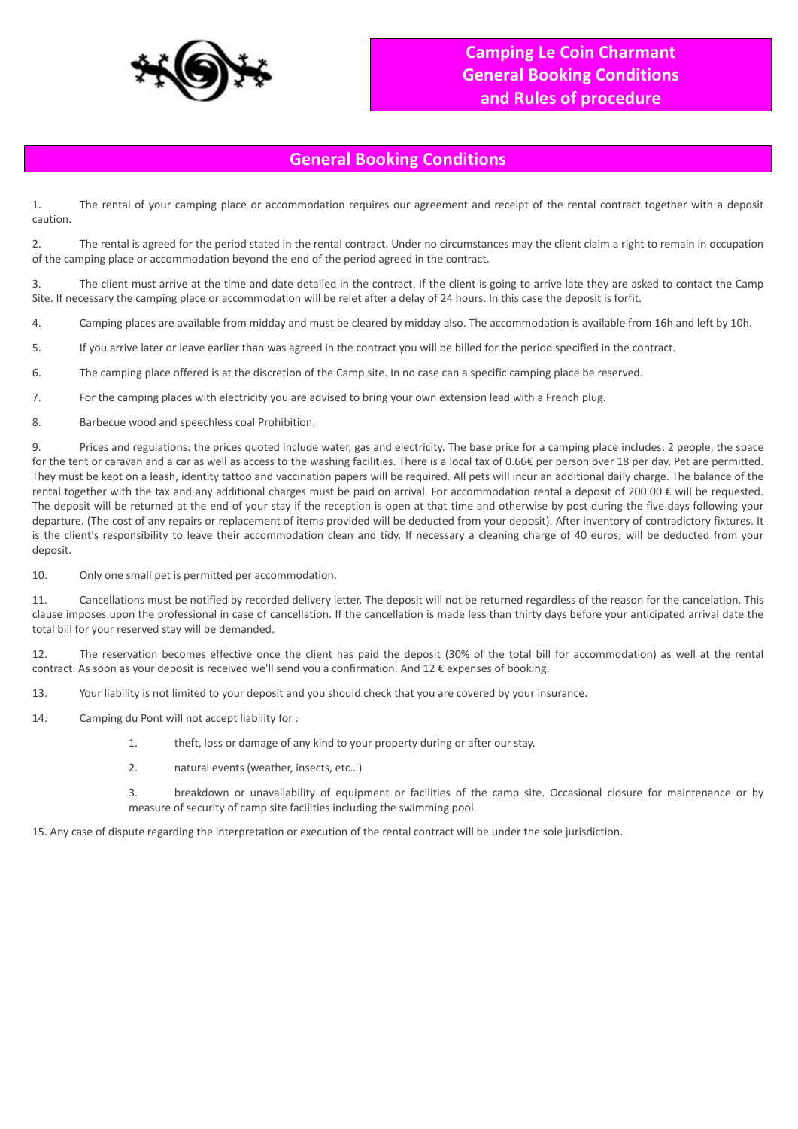

# **General Booking Conditions**

1. The rental of your camping place or accommodation requires our agreement and receipt of the rental contract together with a deposit caution.

2. The rental is agreed for the period stated in the rental contract. Under no circumstances may the client claim a right to remain in occupation of the camping place or accommodation beyond the end of the period agreed in the contract.

3. The client must arrive at the time and date detailed in the contract. If the client is going to arrive late they are asked to contact the Camp Site. If necessary the camping place or accommodation will be relet after a delay of 24 hours. In this case the deposit is forfit.

4. Camping places are available from midday and must be cleared by midday also. The accommodation is available from 16h and left by 10h.

5. If you arrive later or leave earlier than was agreed in the contract you will be billed for the period specified in the contract.

6. The camping place offered is at the discretion of the Camp site. In no case can a specific camping place be reserved.

7. For the camping places with electricity you are advised to bring your own extension lead with a French plug.

8. Barbecue wood and speechless coal Prohibition.

9. Prices and regulations: the prices quoted include water, gas and electricity. The base price for a camping place includes: 2 people, the space for the tent or caravan and a car as well as access to the washing facilities. There is a local tax of 0.66€ per person over 18 per day. Pet are permitted. They must be kept on a leash, identity tattoo and vaccination papers will be required. All pets will incur an additional daily charge. The balance of the rental together with the tax and any additional charges must be paid on arrival. For accommodation rental a deposit of 200.00 € will be requested. The deposit will be returned at the end of your stay if the reception is open at that time and otherwise by post during the five days following your departure. (The cost of any repairs or replacement of items provided will be deducted from your deposit). After inventory of contradictory fixtures. It is the client's responsibility to leave their accommodation clean and tidy. If necessary a cleaning charge of 40 euros; will be deducted from your deposit.

10. Only one small pet is permitted per accommodation.

11. Cancellations must be notified by recorded delivery letter. The deposit will not be returned regardless of the reason for the cancelation. This clause imposes upon the professional in case of cancellation. If the cancellation is made less than thirty days before your anticipated arrival date the total bill for your reserved stay will be demanded.

12. The reservation becomes effective once the client has paid the deposit (30% of the total bill for accommodation) as well at the rental contract. As soon as your deposit is received we'll send you a confirmation. And 12 € expenses of booking.

13. Your liability is not limited to your deposit and you should check that you are covered by your insurance.

14. Camping du Pont will not accept liability for :

1. theft, loss or damage of any kind to your property during or after our stay.

2. natural events (weather, insects, etc…)

3. breakdown or unavailability of equipment or facilities of the camp site. Occasional closure for maintenance or by measure of security of camp site facilities including the swimming pool.

15. Any case of dispute regarding the interpretation or execution of the rental contract will be under the sole jurisdiction.